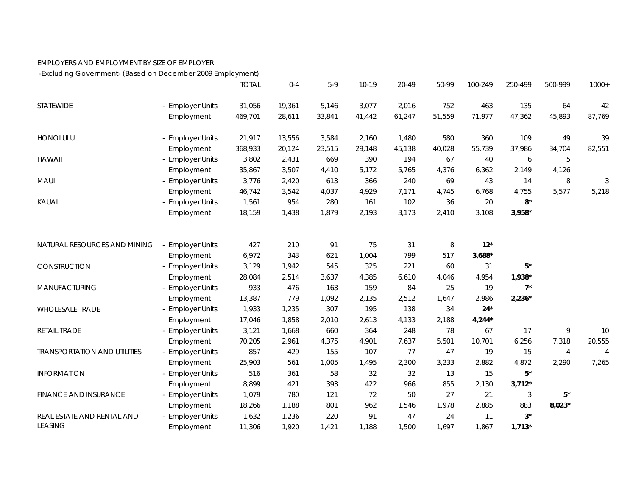## EMPLOYERS AND EMPLOYMENT BY SIZE OF EMPLOYER

-Excluding Government- (Based on December 2009 Employment)

|                                     |                       | <b>TOTAL</b> | $0 - 4$ | $5-9$  | $10 - 19$ | 20-49  | 50-99  | 100-249  | 250-499  | 500-999        | $1000+$        |
|-------------------------------------|-----------------------|--------------|---------|--------|-----------|--------|--------|----------|----------|----------------|----------------|
| STATEWIDE                           | - Employer Units      | 31,056       | 19,361  | 5,146  | 3,077     | 2,016  | 752    | 463      | 135      | 64             | 42             |
|                                     | Employment            | 469,701      | 28,611  | 33,841 | 41,442    | 61,247 | 51,559 | 71,977   | 47,362   | 45,893         | 87,769         |
| <b>HONOLULU</b>                     | - Employer Units      | 21,917       | 13,556  | 3,584  | 2,160     | 1,480  | 580    | 360      | 109      | 49             | 39             |
|                                     | Employment            | 368,933      | 20,124  | 23,515 | 29,148    | 45,138 | 40,028 | 55,739   | 37,986   | 34,704         | 82,551         |
| <b>HAWAII</b>                       | - Employer Units      | 3,802        | 2,431   | 669    | 390       | 194    | 67     | 40       | 6        | 5              |                |
|                                     | Employment            | 35,867       | 3,507   | 4,410  | 5,172     | 5,765  | 4,376  | 6,362    | 2,149    | 4,126          |                |
| MAUI                                | - Employer Units      | 3,776        | 2,420   | 613    | 366       | 240    | 69     | 43       | 14       | 8              | 3              |
|                                     | Employment            | 46,742       | 3,542   | 4,037  | 4,929     | 7,171  | 4,745  | 6,768    | 4,755    | 5,577          | 5,218          |
| KAUAI                               | - Employer Units      | 1,561        | 954     | 280    | 161       | 102    | 36     | 20       | $8*$     |                |                |
|                                     | Employment            | 18,159       | 1,438   | 1,879  | 2,193     | 3,173  | 2,410  | 3,108    | $3,958*$ |                |                |
|                                     |                       |              |         |        |           |        |        |          |          |                |                |
| NATURAL RESOURCES AND MINING        | - Employer Units      | 427          | 210     | 91     | 75        | 31     | 8      | $12*$    |          |                |                |
|                                     | Employment            | 6,972        | 343     | 621    | 1,004     | 799    | 517    | $3,688*$ |          |                |                |
| CONSTRUCTION                        | - Employer Units      | 3,129        | 1,942   | 545    | 325       | 221    | 60     | 31       | $5*$     |                |                |
|                                     | Employment            | 28,084       | 2,514   | 3,637  | 4,385     | 6,610  | 4,046  | 4,954    | 1,938*   |                |                |
| MANUFACTURING                       | - Employer Units      | 933          | 476     | 163    | 159       | 84     | 25     | 19       | $7^*$    |                |                |
|                                     | Employment            | 13,387       | 779     | 1,092  | 2,135     | 2,512  | 1,647  | 2,986    | $2,236*$ |                |                |
| <b>WHOLESALE TRADE</b>              | - Employer Units      | 1,933        | 1,235   | 307    | 195       | 138    | 34     | $24*$    |          |                |                |
|                                     | Employment            | 17,046       | 1,858   | 2,010  | 2,613     | 4,133  | 2,188  | $4,244*$ |          |                |                |
| RETAIL TRADE                        | - Employer Units      | 3,121        | 1,668   | 660    | 364       | 248    | 78     | 67       | 17       | 9              | 10             |
|                                     | Employment            | 70,205       | 2,961   | 4,375  | 4,901     | 7,637  | 5,501  | 10,701   | 6,256    | 7,318          | 20,555         |
| <b>TRANSPORTATION AND UTILITIES</b> | <b>Employer Units</b> | 857          | 429     | 155    | 107       | 77     | 47     | 19       | 15       | $\overline{4}$ | $\overline{4}$ |
|                                     | Employment            | 25,903       | 561     | 1,005  | 1,495     | 2,300  | 3,233  | 2,882    | 4,872    | 2,290          | 7,265          |
| <b>INFORMATION</b>                  | - Employer Units      | 516          | 361     | 58     | 32        | 32     | 13     | 15       | $5*$     |                |                |
|                                     | Employment            | 8,899        | 421     | 393    | 422       | 966    | 855    | 2,130    | $3,712*$ |                |                |
| <b>FINANCE AND INSURANCE</b>        | <b>Employer Units</b> | 1,079        | 780     | 121    | 72        | 50     | 27     | 21       | 3        | $5^*$          |                |
|                                     | Employment            | 18,266       | 1,188   | 801    | 962       | 1,546  | 1,978  | 2,885    | 883      | $8,023*$       |                |
| REAL ESTATE AND RENTAL AND          | - Employer Units      | 1,632        | 1,236   | 220    | 91        | 47     | 24     | 11       | $3^*$    |                |                |
| <b>LEASING</b>                      | Employment            | 11,306       | 1,920   | 1,421  | 1,188     | 1,500  | 1,697  | 1,867    | $1,713*$ |                |                |